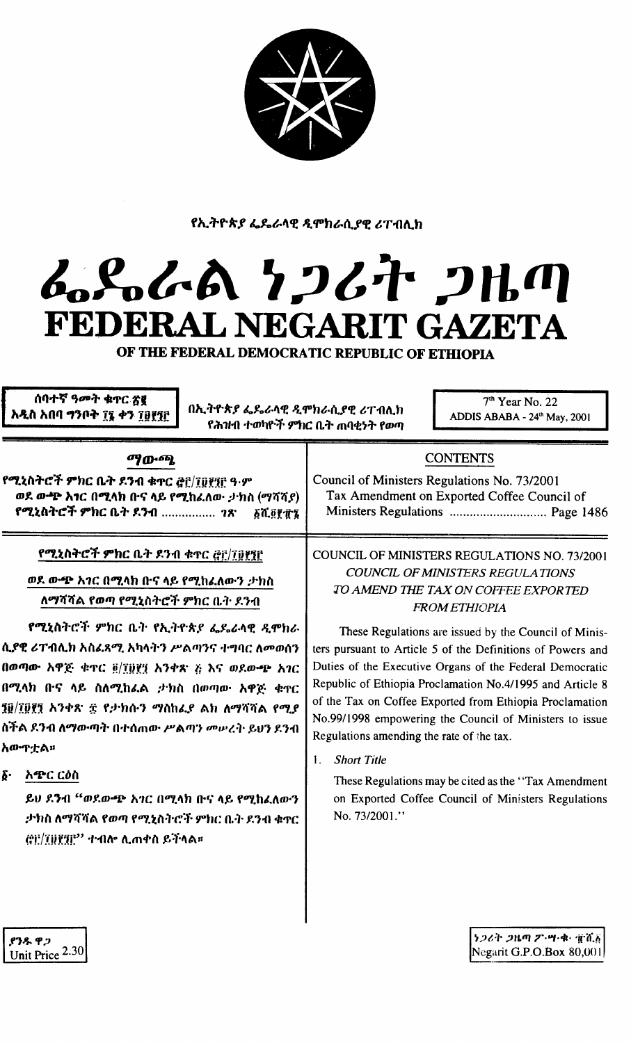

## fኢትዮጵያ ፌዴራላዊ ዲሞክራሲያዊ ሪፐብሊክ

## *~1o~1A ";Jt~* **;JltllJ** FEDERAL NEGARIT GAZETA

OF THE FEDERAL DEMOCRATIC REPUBLIC OF ETHIOPIA

ሰባተኛ ዓመት ቁተር ጽር አዲስ አበባ ማንቦት ፲፯ ቀን ፲፱፻፺፫

ADDIS ABABA - 24th May, 2001 Oh.."f'V'A"f~1..~./t4£ -'l'fOh~.ilf'e *&T11l\.h* የሕዝብ ተወካዮች ምክር ቤት **ጠ**ባቂነት የወጣ

7<sup>th</sup> Year No. 22

| ማውጫ                                                                                                                                          | <b>CONTENTS</b>                                                                             |
|----------------------------------------------------------------------------------------------------------------------------------------------|---------------------------------------------------------------------------------------------|
| የሚኒስትሮች ምክር ቤት ደንብ ቁጥር ፎ፫/፲፬፻፶፫ ዓ·ም<br>ወደ ውጭ አኀር በሚላክ ቡና ላይ የሚከፈለው ታክስ (ማሻሻያ)<br>የሚኒስትሮች ምክር ቤት ደንብ <i>ገጽ</i><br><u> ፩ሺ፬፻፹፯ <sup>।</sup></u> | Council of Ministers Regulations No. 73/2001<br>Tax Amendment on Exported Coffee Council of |

## የ**ሚኒስትሮች ምክ**ር ቤት ደንብ ቁጥር <u>@i</u>/፲፱፻፺፫

## *መ*ደ ውጭ አ*ገ*ር በሚላክ ቡና ላይ የሚከፈለውን ታክስ ለማሻሻል የወጣ የሚ**ኒ**ስትሮች ምክር ቤት ደንብ

**የሚኒስትሮች ምክር ቤት የኢትዮጵያ ፌዴራላዊ ዲሞክራ** il.t''t *&T-ol\.h "lt41."""I.* "it/t'}'1 *rAnJ1r.* "''''IlC *ftoom(11* በወጣው አዋጅ **ቁ**ዋር ፬/፣፱፻፺ አንቀጽ ጅ እና ወደውጭ አገር በሚላክ በ·ና ላይ ስለሚከሬል *:*ታክስ በወጣው አዋጅ ቁተር 10/I0f1 አንቀጽ ፰ የታክሱን ማስከፌደ ልክ ለማሻሻል የሚ*ደ* ስችል ደንብ ለማውጣት በተሰጠው ሥልጣን *መ*ሠረት ይህን ደንብ *hID"":I:Au*

 $\delta$ <sup>.</sup> አጭር ርዕስ

~tJ 1.1i1 *"m1.ID.1i1!'"'IC* n""l./th *n.c,'*/tf. *f""l.h41.ftID'1 :*ታክስ ለማሻሻል የወጣ የሚኒስትሮች ምክር ቤት ደንብ ቁጥር  $\langle$ ëi<sup>:/</sup> $\mathrm{T}$ i)ኛ $\mathrm{T}$ i $^{\prime\prime}$  ተብሎ ሊጠቀስ ይችላል።

COUNCIL OF MINISTERS REGULATIONS NO. 73/2001 *COUNCIL OF MINISTERS REGULA TIONS* TO *AMEND mE TAX ON COFFEE EXPORTED FROM EmJOPIA*

These Regulations are issued by the Council of Ministers pursuant to Article 5 of the Definitions of Powers and Duties of the Executive Organs of the Federal Democratic Republic of Ethiopia Proclamation No.4/1995 and Article 8 of the Tax on Coffee Exported from Ethiopia Proclamation No.99/1998 empowering the Council of Ministers to issue Regulations amending the rate of the tax.

1. *Short Title*

These Regulations may be cited as the "Tax Amendment" on Exported Coffee Council of Ministers Regulations No. *7312001."*

.የንዱ ዋጋ Unit Price 2.30